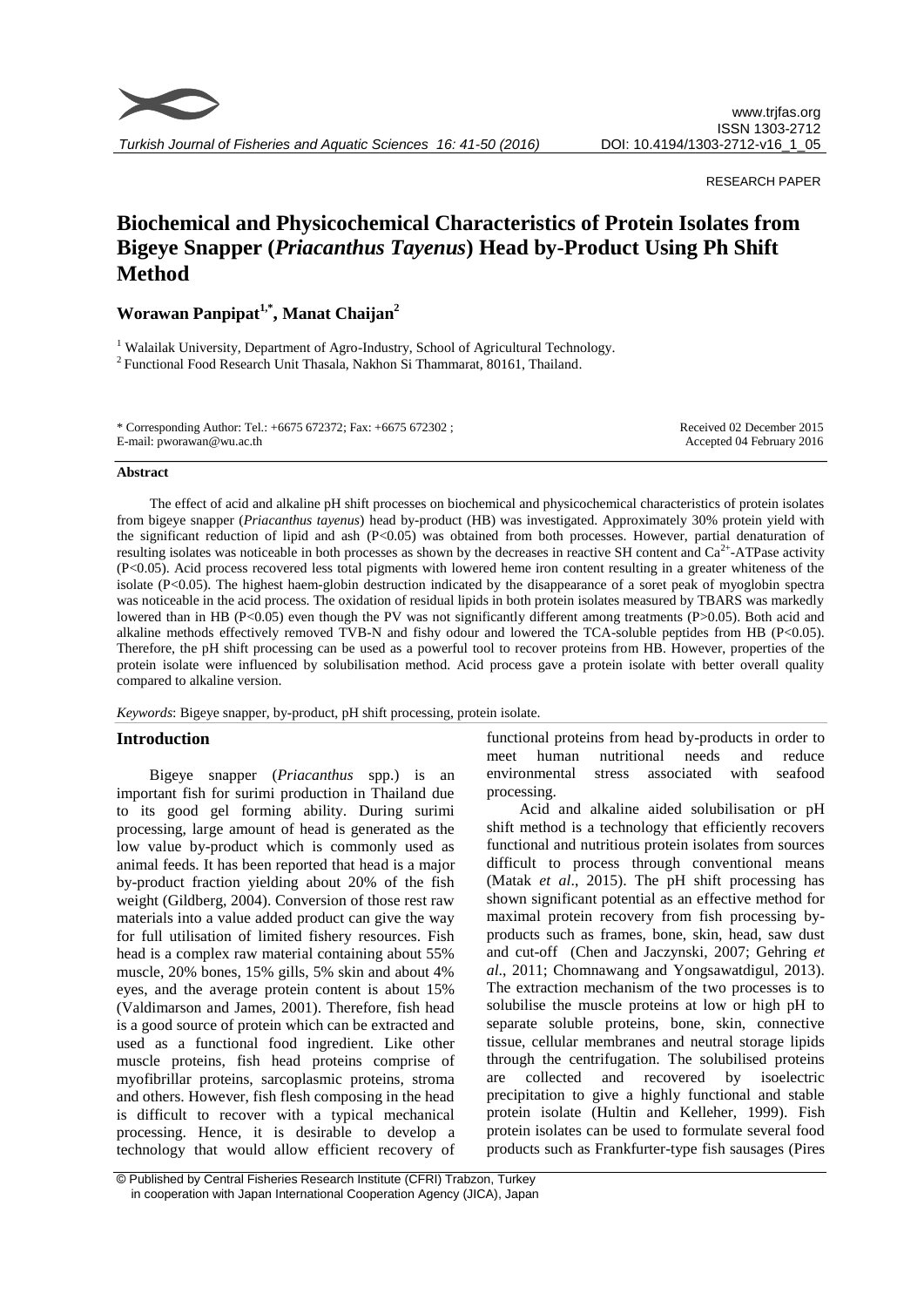

RESEARCH PAPER

# **Biochemical and Physicochemical Characteristics of Protein Isolates from Bigeye Snapper (***Priacanthus Tayenus***) Head by-Product Using Ph Shift Method**

**Worawan Panpipat1,\* , Manat Chaijan<sup>2</sup>**

<sup>1</sup> Walailak University, Department of Agro-Industry, School of Agricultural Technology. <sup>2</sup> Functional Food Research Unit Thasala, Nakhon Si Thammarat, 80161, Thailand.

\* Corresponding Author: Tel.: +6675 672372; Fax: +6675 672302 ; E-mail: pworawan@wu.ac.th

Received 02 December 2015 Accepted 04 February 2016

#### **Abstract**

The effect of acid and alkaline pH shift processes on biochemical and physicochemical characteristics of protein isolates from bigeye snapper (*Priacanthus tayenus*) head by-product (HB) was investigated. Approximately 30% protein yield with the significant reduction of lipid and ash  $(P<0.05)$  was obtained from both processes. However, partial denaturation of resulting isolates was noticeable in both processes as shown by the decreases in reactive SH content and  $Ca^{2+}$ -ATPase activity (P<0.05). Acid process recovered less total pigments with lowered heme iron content resulting in a greater whiteness of the isolate (P<0.05). The highest haem-globin destruction indicated by the disappearance of a soret peak of myoglobin spectra was noticeable in the acid process. The oxidation of residual lipids in both protein isolates measured by TBARS was markedly lowered than in HB (P<0.05) even though the PV was not significantly different among treatments (P>0.05). Both acid and alkaline methods effectively removed TVB-N and fishy odour and lowered the TCA-soluble peptides from HB (P<0.05). Therefore, the pH shift processing can be used as a powerful tool to recover proteins from HB. However, properties of the protein isolate were influenced by solubilisation method. Acid process gave a protein isolate with better overall quality compared to alkaline version.

*Keywords*: Bigeye snapper, by-product, pH shift processing, protein isolate.

## **Introduction**

Bigeye snapper (*Priacanthus* spp.) is an important fish for surimi production in Thailand due to its good gel forming ability. During surimi processing, large amount of head is generated as the low value by-product which is commonly used as animal feeds. It has been reported that head is a major by-product fraction yielding about 20% of the fish weight (Gildberg, 2004). Conversion of those rest raw materials into a value added product can give the way for full utilisation of limited fishery resources. Fish head is a complex raw material containing about 55% muscle, 20% bones, 15% gills, 5% skin and about 4% eyes, and the average protein content is about 15% (Valdimarson and James, 2001). Therefore, fish head is a good source of protein which can be extracted and used as a functional food ingredient. Like other muscle proteins, fish head proteins comprise of myofibrillar proteins, sarcoplasmic proteins, stroma and others. However, fish flesh composing in the head is difficult to recover with a typical mechanical processing. Hence, it is desirable to develop a technology that would allow efficient recovery of

functional proteins from head by-products in order to meet human nutritional needs and reduce environmental stress associated with seafood processing.

Acid and alkaline aided solubilisation or pH shift method is a technology that efficiently recovers functional and nutritious protein isolates from sources difficult to process through conventional means (Matak *et al*., 2015). The pH shift processing has shown significant potential as an effective method for maximal protein recovery from fish processing byproducts such as frames, bone, skin, head, saw dust and cut-off (Chen and Jaczynski, 2007; Gehring *et al*., 2011; Chomnawang and Yongsawatdigul, 2013). The extraction mechanism of the two processes is to solubilise the muscle proteins at low or high pH to separate soluble proteins, bone, skin, connective tissue, cellular membranes and neutral storage lipids through the centrifugation. The solubilised proteins are collected and recovered by isoelectric precipitation to give a highly functional and stable protein isolate (Hultin and Kelleher, 1999). Fish protein isolates can be used to formulate several food products such as Frankfurter-type fish sausages (Pires

<sup>©</sup> Published by Central Fisheries Research Institute (CFRI) Trabzon, Turkey in cooperation with Japan International Cooperation Agency (JICA), Japan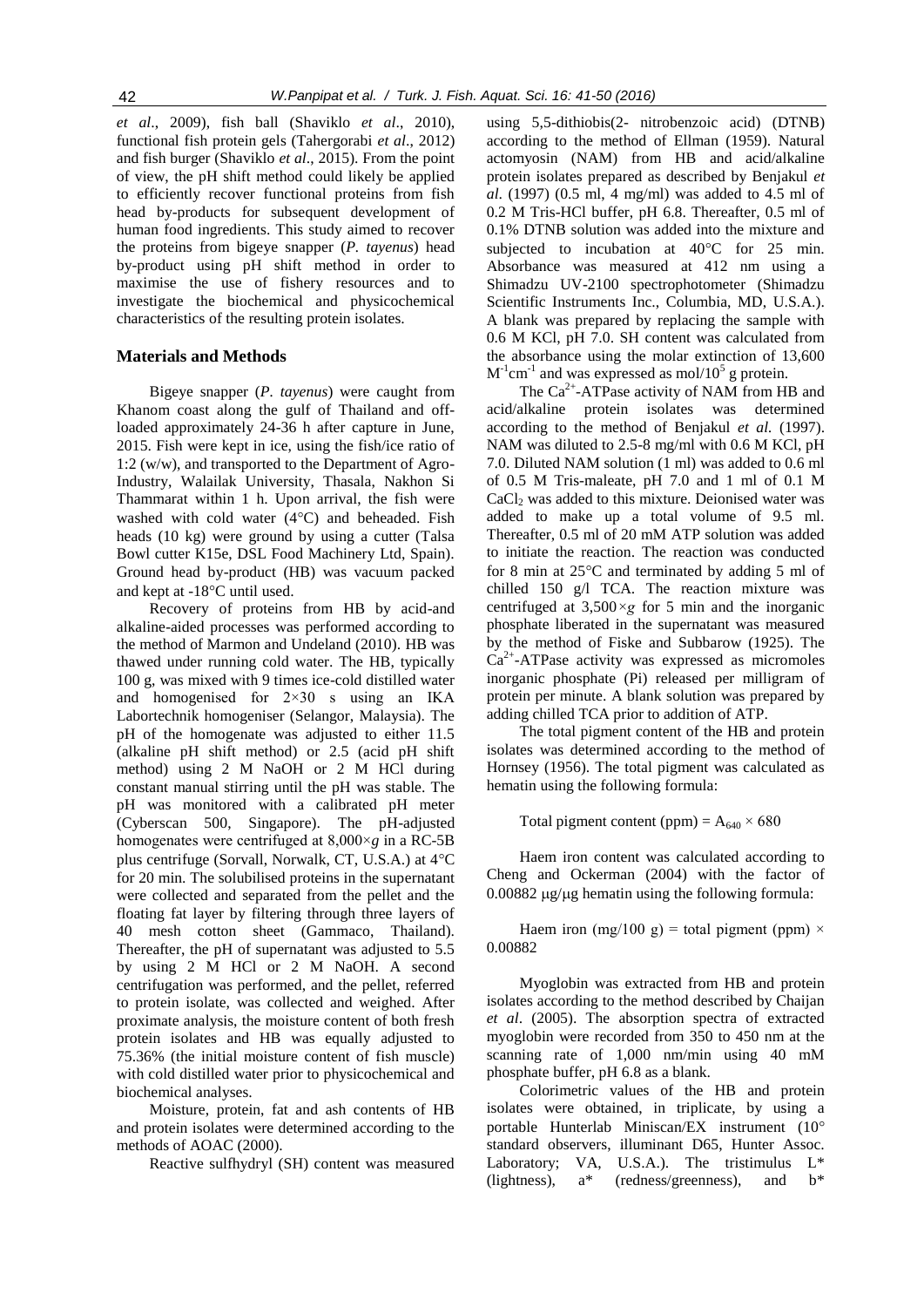*et al*., 2009), fish ball (Shaviklo *et al*., 2010), functional fish protein gels (Tahergorabi *et al*., 2012) and fish burger (Shaviklo *et al*., 2015). From the point of view, the pH shift method could likely be applied to efficiently recover functional proteins from fish head by-products for subsequent development of human food ingredients. This study aimed to recover the proteins from bigeye snapper (*P. tayenus*) head by-product using pH shift method in order to maximise the use of fishery resources and to investigate the biochemical and physicochemical characteristics of the resulting protein isolates.

## **Materials and Methods**

Bigeye snapper (*P. tayenus*) were caught from Khanom coast along the gulf of Thailand and offloaded approximately 24-36 h after capture in June, 2015. Fish were kept in ice, using the fish/ice ratio of 1:2 (w/w), and transported to the Department of Agro-Industry, Walailak University, Thasala, Nakhon Si Thammarat within 1 h. Upon arrival, the fish were washed with cold water  $(4^{\circ}C)$  and beheaded. Fish heads (10 kg) were ground by using a cutter (Talsa Bowl cutter K15e, DSL Food Machinery Ltd, Spain). Ground head by-product (HB) was vacuum packed and kept at  $-18^{\circ}$ C until used.

Recovery of proteins from HB by acid-and alkaline-aided processes was performed according to the method of Marmon and Undeland (2010). HB was thawed under running cold water. The HB, typically 100 g, was mixed with 9 times ice-cold distilled water and homogenised for 2×30 s using an IKA Labortechnik homogeniser (Selangor, Malaysia). The pH of the homogenate was adjusted to either 11.5 (alkaline pH shift method) or 2.5 (acid pH shift method) using 2 M NaOH or 2 M HCl during constant manual stirring until the pH was stable. The pH was monitored with a calibrated pH meter (Cyberscan 500, Singapore). The pH-adjusted homogenates were centrifuged at 8,000×*g* in a RC-5B plus centrifuge (Sorvall, Norwalk, CT, U.S.A.) at  $4^{\circ}$ C for 20 min. The solubilised proteins in the supernatant were collected and separated from the pellet and the floating fat layer by filtering through three layers of 40 mesh cotton sheet (Gammaco, Thailand). Thereafter, the pH of supernatant was adjusted to 5.5 by using 2 M HCl or 2 M NaOH. A second centrifugation was performed, and the pellet, referred to protein isolate, was collected and weighed. After proximate analysis, the moisture content of both fresh protein isolates and HB was equally adjusted to 75.36% (the initial moisture content of fish muscle) with cold distilled water prior to physicochemical and biochemical analyses.

Moisture, protein, fat and ash contents of HB and protein isolates were determined according to the methods of AOAC (2000).

Reactive sulfhydryl (SH) content was measured

using 5,5-dithiobis(2- nitrobenzoic acid) (DTNB) according to the method of Ellman (1959). Natural actomyosin (NAM) from HB and acid/alkaline protein isolates prepared as described by Benjakul *et al*. (1997) (0.5 ml, 4 mg/ml) was added to 4.5 ml of 0.2 M Tris-HCl buffer, pH 6.8. Thereafter, 0.5 ml of 0.1% DTNB solution was added into the mixture and subjected to incubation at  $40^{\circ}$ C for 25 min. Absorbance was measured at 412 nm using a Shimadzu UV-2100 spectrophotometer (Shimadzu Scientific Instruments Inc., Columbia, MD, U.S.A.). A blank was prepared by replacing the sample with 0.6 M KCl, pH 7.0. SH content was calculated from the absorbance using the molar extinction of 13,600  $M^{-1}$ cm<sup>-1</sup> and was expressed as mol/10<sup>5</sup> g protein.

The  $Ca^{2+}$ -ATPase activity of NAM from HB and acid/alkaline protein isolates was determined according to the method of Benjakul *et al.* (1997). NAM was diluted to 2.5-8 mg/ml with 0.6 M KCl, pH 7.0. Diluted NAM solution (1 ml) was added to 0.6 ml of 0.5 M Tris-maleate, pH 7.0 and 1 ml of 0.1 M CaCl<sub>2</sub> was added to this mixture. Deionised water was added to make up a total volume of 9.5 ml. Thereafter, 0.5 ml of 20 mM ATP solution was added to initiate the reaction. The reaction was conducted for 8 min at  $25^{\circ}$ C and terminated by adding 5 ml of chilled 150 g/l TCA. The reaction mixture was centrifuged at 3,500*×g* for 5 min and the inorganic phosphate liberated in the supernatant was measured by the method of Fiske and Subbarow (1925). The Ca<sup>2+</sup>-ATPase activity was expressed as micromoles inorganic phosphate (Pi) released per milligram of protein per minute. A blank solution was prepared by adding chilled TCA prior to addition of ATP.

The total pigment content of the HB and protein isolates was determined according to the method of Hornsey (1956). The total pigment was calculated as hematin using the following formula:

Total pigment content (ppm) =  $A_{640} \times 680$ 

Haem iron content was calculated according to Cheng and Ockerman (2004) with the factor of  $0.00882$  ug/ug hematin using the following formula:

Haem iron (mg/100 g) = total pigment (ppm)  $\times$ 0.00882

Myoglobin was extracted from HB and protein isolates according to the method described by Chaijan *et al*. (2005). The absorption spectra of extracted myoglobin were recorded from 350 to 450 nm at the scanning rate of 1,000 nm/min using 40 mM phosphate buffer, pH 6.8 as a blank.

Colorimetric values of the HB and protein isolates were obtained, in triplicate, by using a portable Hunterlab Miniscan/EX instrument (10 standard observers, illuminant D65, Hunter Assoc. Laboratory; VA, U.S.A.). The tristimulus  $L^*$ (lightness),  $a^*$  (redness/greenness), and  $b^*$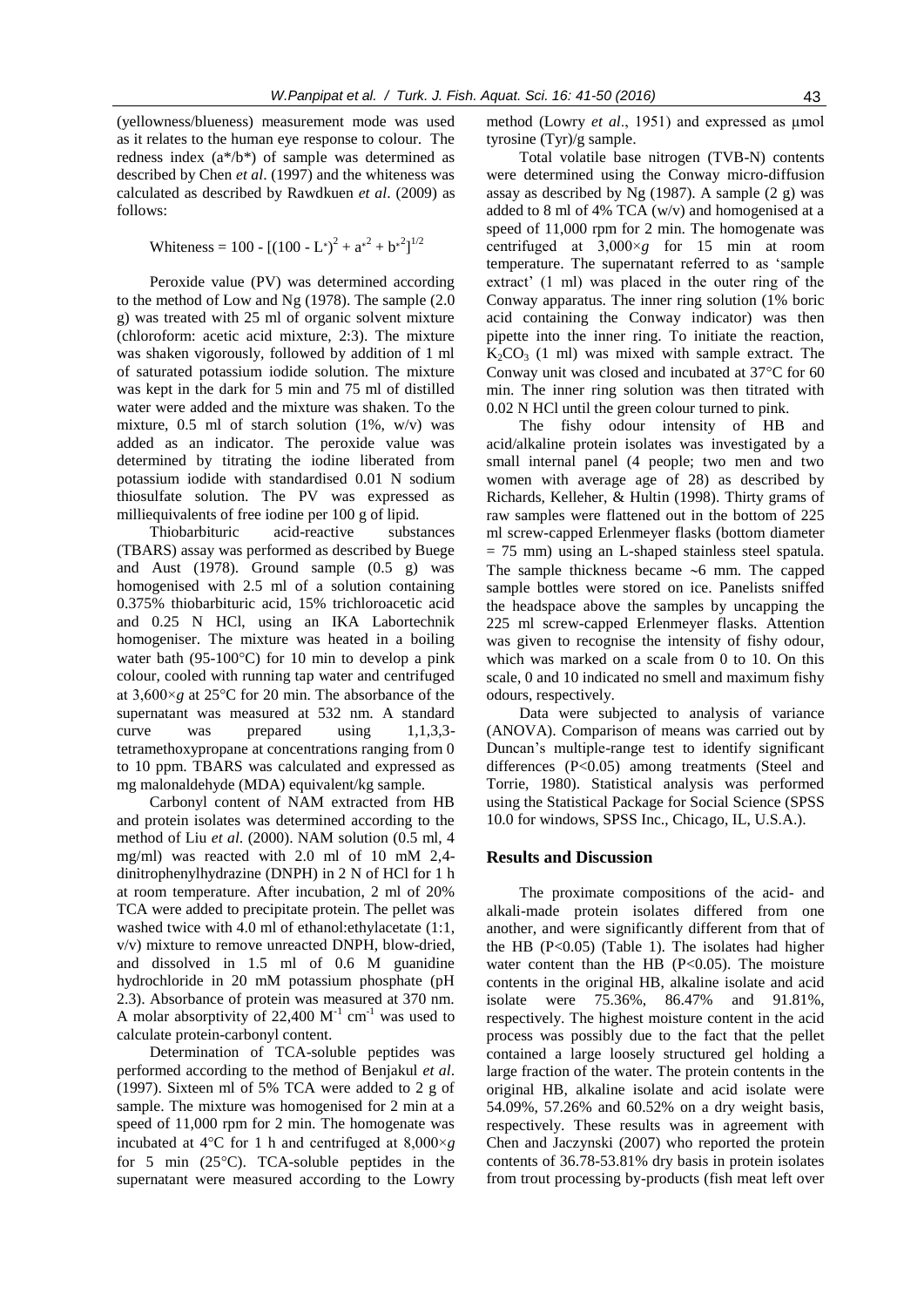(yellowness/blueness) measurement mode was used as it relates to the human eye response to colour. The redness index (a\*/b\*) of sample was determined as described by Chen *et al*. (1997) and the whiteness was calculated as described by Rawdkuen *et al*. (2009) as follows:

Whiteness = 100 -  $[(100 - L^*)^2 + a^{2} + b^{2}]^{1/2}$ 

Peroxide value (PV) was determined according to the method of Low and Ng (1978). The sample (2.0 g) was treated with 25 ml of organic solvent mixture (chloroform: acetic acid mixture, 2:3). The mixture was shaken vigorously, followed by addition of 1 ml of saturated potassium iodide solution. The mixture was kept in the dark for 5 min and 75 ml of distilled water were added and the mixture was shaken. To the mixture, 0.5 ml of starch solution (1%, w/v) was added as an indicator. The peroxide value was determined by titrating the iodine liberated from potassium iodide with standardised 0.01 N sodium thiosulfate solution. The PV was expressed as milliequivalents of free iodine per 100 g of lipid.

Thiobarbituric acid-reactive substances (TBARS) assay was performed as described by Buege and Aust (1978). Ground sample (0.5 g) was homogenised with 2.5 ml of a solution containing 0.375% thiobarbituric acid, 15% trichloroacetic acid and 0.25 N HCl, using an IKA Labortechnik homogeniser. The mixture was heated in a boiling water bath (95-100 $^{\circ}$ C) for 10 min to develop a pink colour, cooled with running tap water and centrifuged at  $3,600 \times g$  at  $25^{\circ}$ C for 20 min. The absorbance of the supernatant was measured at 532 nm. A standard curve was prepared using 1,1,3,3 tetramethoxypropane at concentrations ranging from 0 to 10 ppm. TBARS was calculated and expressed as mg malonaldehyde (MDA) equivalent/kg sample.

Carbonyl content of NAM extracted from HB and protein isolates was determined according to the method of Liu *et al*. (2000). NAM solution (0.5 ml, 4 mg/ml) was reacted with 2.0 ml of 10 mM 2,4 dinitrophenylhydrazine (DNPH) in 2 N of HCl for 1 h at room temperature. After incubation, 2 ml of 20% TCA were added to precipitate protein. The pellet was washed twice with 4.0 ml of ethanol: ethylacetate (1:1, v/v) mixture to remove unreacted DNPH, blow-dried, and dissolved in 1.5 ml of 0.6 M guanidine hydrochloride in 20 mM potassium phosphate (pH 2.3). Absorbance of protein was measured at 370 nm. A molar absorptivity of 22,400  $M^{-1}$  cm<sup>-1</sup> was used to calculate protein-carbonyl content.

Determination of TCA-soluble peptides was performed according to the method of Benjakul *et al*. (1997). Sixteen ml of 5% TCA were added to 2 g of sample. The mixture was homogenised for 2 min at a speed of 11,000 rpm for 2 min. The homogenate was incubated at  $4^{\circ}$ C for 1 h and centrifuged at  $8,000 \times g$ for 5 min  $(25^{\circ}C)$ . TCA-soluble peptides in the supernatant were measured according to the Lowry method (Lowry *et al.*, 1951) and expressed as µmol tyrosine (Tyr)/g sample.

Total volatile base nitrogen (TVB-N) contents were determined using the Conway micro-diffusion assay as described by Ng (1987). A sample (2 g) was added to 8 ml of 4% TCA (w/v) and homogenised at a speed of 11,000 rpm for 2 min. The homogenate was centrifuged at 3,000×*g* for 15 min at room temperature. The supernatant referred to as 'sample extract' (1 ml) was placed in the outer ring of the Conway apparatus. The inner ring solution (1% boric acid containing the Conway indicator) was then pipette into the inner ring. To initiate the reaction,  $K_2CO_3$  (1 ml) was mixed with sample extract. The Conway unit was closed and incubated at  $37^{\circ}$ C for 60 min. The inner ring solution was then titrated with 0.02 N HCl until the green colour turned to pink.

The fishy odour intensity of HB and acid/alkaline protein isolates was investigated by a small internal panel (4 people; two men and two women with average age of 28) as described by Richards, Kelleher, & Hultin (1998). Thirty grams of raw samples were flattened out in the bottom of 225 ml screw-capped Erlenmeyer flasks (bottom diameter = 75 mm) using an L-shaped stainless steel spatula. The sample thickness became  $\sim$ 6 mm. The capped sample bottles were stored on ice. Panelists sniffed the headspace above the samples by uncapping the 225 ml screw-capped Erlenmeyer flasks. Attention was given to recognise the intensity of fishy odour, which was marked on a scale from 0 to 10. On this scale, 0 and 10 indicated no smell and maximum fishy odours, respectively.

Data were subjected to analysis of variance (ANOVA). Comparison of means was carried out by Duncan's multiple-range test to identify significant differences (P<0.05) among treatments (Steel and Torrie, 1980). Statistical analysis was performed using the Statistical Package for Social Science (SPSS 10.0 for windows, SPSS Inc., Chicago, IL, U.S.A.).

# **Results and Discussion**

The proximate compositions of the acid- and alkali-made protein isolates differed from one another, and were significantly different from that of the HB (P<0.05) (Table 1). The isolates had higher water content than the HB  $(P<0.05)$ . The moisture contents in the original HB, alkaline isolate and acid isolate were 75.36%, 86.47% and 91.81%, respectively. The highest moisture content in the acid process was possibly due to the fact that the pellet contained a large loosely structured gel holding a large fraction of the water. The protein contents in the original HB, alkaline isolate and acid isolate were 54.09%, 57.26% and 60.52% on a dry weight basis, respectively. These results was in agreement with Chen and Jaczynski (2007) who reported the protein contents of 36.78-53.81% dry basis in protein isolates from trout processing by-products (fish meat left over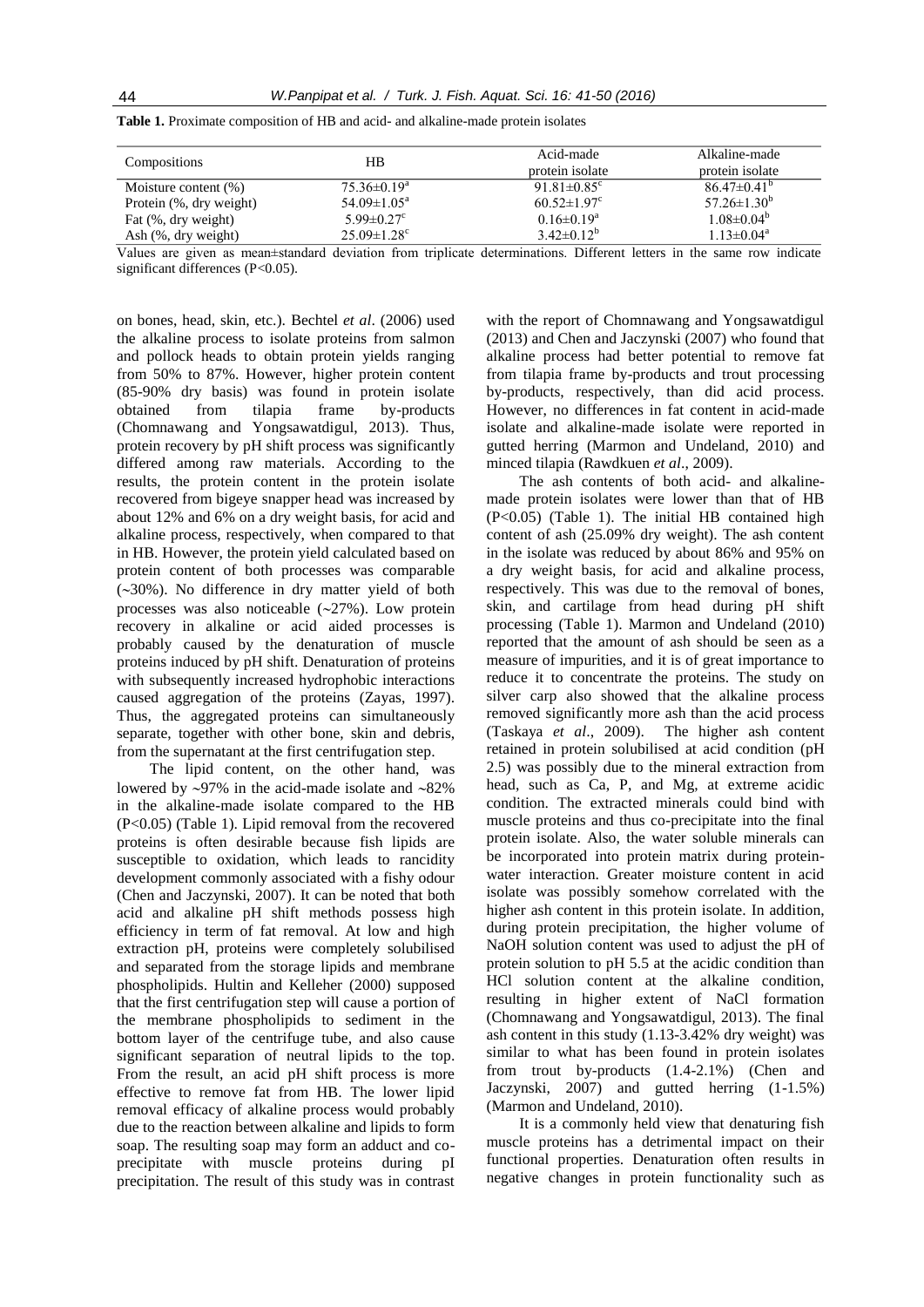| Compositions            | НB                            | Acid-made<br>protein isolate  | Alkaline-made<br>protein isolate |
|-------------------------|-------------------------------|-------------------------------|----------------------------------|
| Moisture content $(\%)$ | $75.36\pm0.19^{\rm a}$        | 91.81 $\pm$ 0.85 <sup>c</sup> | $86.47\pm0.41^{b}$               |
| Protein (%, dry weight) | 54.09 $\pm$ 1.05 <sup>a</sup> | $60.52 \pm 1.97$ <sup>c</sup> | $57.26 \pm 1.30^b$               |
| Fat $(\%$ , dry weight) | $5.99 \pm 0.27$ °             | $0.16 \pm 0.19^a$             | $1.08 \pm 0.04^b$                |
| Ash (%, dry weight)     | $25.09 \pm 1.28$ <sup>c</sup> | $3.42\pm0.12^b$               | $1.13 \pm 0.04^a$                |

**Table 1.** Proximate composition of HB and acid- and alkaline-made protein isolates

Values are given as mean±standard deviation from triplicate determinations. Different letters in the same row indicate significant differences (P<0.05).

on bones, head, skin, etc.). Bechtel *et al*. (2006) used the alkaline process to isolate proteins from salmon and pollock heads to obtain protein yields ranging from 50% to 87%. However, higher protein content (85-90% dry basis) was found in protein isolate obtained from tilapia frame by-products (Chomnawang and Yongsawatdigul, 2013). Thus, protein recovery by pH shift process was significantly differed among raw materials. According to the results, the protein content in the protein isolate recovered from bigeye snapper head was increased by about 12% and 6% on a dry weight basis, for acid and alkaline process, respectively, when compared to that in HB. However, the protein yield calculated based on protein content of both processes was comparable  $(-30%)$ . No difference in dry matter yield of both processes was also noticeable  $(\sim 27\%)$ . Low protein recovery in alkaline or acid aided processes is probably caused by the denaturation of muscle proteins induced by pH shift. Denaturation of proteins with subsequently increased hydrophobic interactions caused aggregation of the proteins (Zayas, 1997). Thus, the aggregated proteins can simultaneously separate, together with other bone, skin and debris, from the supernatant at the first centrifugation step.

The lipid content, on the other hand, was lowered by  $\sim$ 97% in the acid-made isolate and  $\sim$ 82% in the alkaline-made isolate compared to the HB (P<0.05) (Table 1). Lipid removal from the recovered proteins is often desirable because fish lipids are susceptible to oxidation, which leads to rancidity development commonly associated with a fishy odour (Chen and Jaczynski, 2007). It can be noted that both acid and alkaline pH shift methods possess high efficiency in term of fat removal. At low and high extraction pH, proteins were completely solubilised and separated from the storage lipids and membrane phospholipids. Hultin and Kelleher (2000) supposed that the first centrifugation step will cause a portion of the membrane phospholipids to sediment in the bottom layer of the centrifuge tube, and also cause significant separation of neutral lipids to the top. From the result, an acid pH shift process is more effective to remove fat from HB. The lower lipid removal efficacy of alkaline process would probably due to the reaction between alkaline and lipids to form soap. The resulting soap may form an adduct and coprecipitate with muscle proteins during pI precipitation. The result of this study was in contrast

with the report of Chomnawang and Yongsawatdigul (2013) and Chen and Jaczynski (2007) who found that alkaline process had better potential to remove fat from tilapia frame by-products and trout processing by-products, respectively, than did acid process. However, no differences in fat content in acid-made isolate and alkaline-made isolate were reported in gutted herring (Marmon and Undeland, 2010) and minced tilapia (Rawdkuen *et al*., 2009).

The ash contents of both acid- and alkalinemade protein isolates were lower than that of HB (P<0.05) (Table 1). The initial HB contained high content of ash (25.09% dry weight). The ash content in the isolate was reduced by about 86% and 95% on a dry weight basis, for acid and alkaline process, respectively. This was due to the removal of bones, skin, and cartilage from head during pH shift processing (Table 1). Marmon and Undeland (2010) reported that the amount of ash should be seen as a measure of impurities, and it is of great importance to reduce it to concentrate the proteins. The study on silver carp also showed that the alkaline process removed significantly more ash than the acid process (Taskaya *et al*., 2009). The higher ash content retained in protein solubilised at acid condition (pH 2.5) was possibly due to the mineral extraction from head, such as Ca, P, and Mg, at extreme acidic condition. The extracted minerals could bind with muscle proteins and thus co-precipitate into the final protein isolate. Also, the water soluble minerals can be incorporated into protein matrix during proteinwater interaction. Greater moisture content in acid isolate was possibly somehow correlated with the higher ash content in this protein isolate. In addition, during protein precipitation, the higher volume of NaOH solution content was used to adjust the pH of protein solution to pH 5.5 at the acidic condition than HCl solution content at the alkaline condition, resulting in higher extent of NaCl formation (Chomnawang and Yongsawatdigul, 2013). The final ash content in this study (1.13-3.42% dry weight) was similar to what has been found in protein isolates from trout by-products (1.4-2.1%) (Chen and Jaczynski, 2007) and gutted herring (1-1.5%) (Marmon and Undeland, 2010).

It is a commonly held view that denaturing fish muscle proteins has a detrimental impact on their functional properties. Denaturation often results in negative changes in protein functionality such as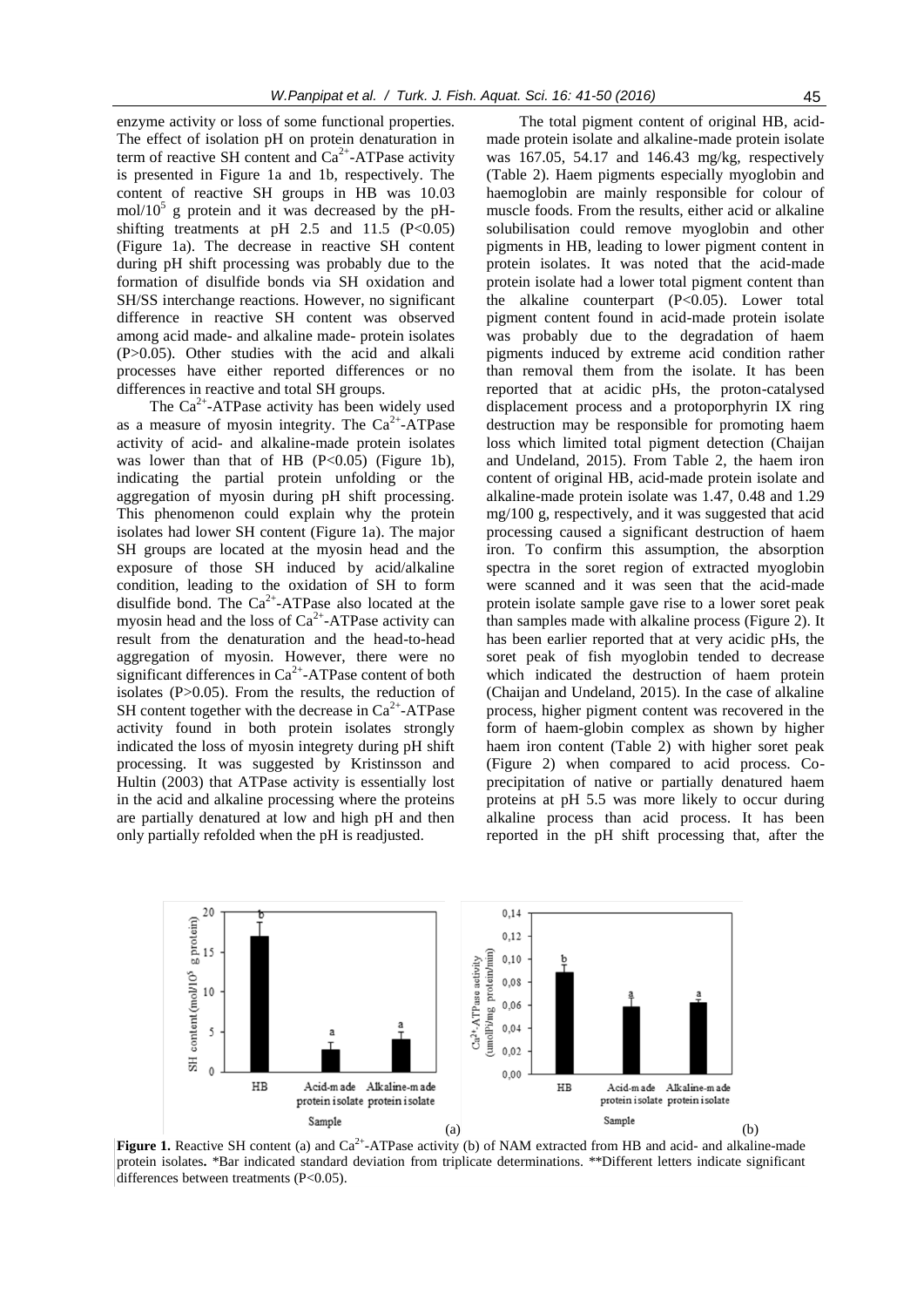enzyme activity or loss of some functional properties. The effect of isolation pH on protein denaturation in term of reactive SH content and  $Ca^{2+}$ -ATPase activity is presented in Figure 1a and 1b, respectively. The content of reactive SH groups in HB was 10.03  $mol/10^5$  g protein and it was decreased by the pHshifting treatments at pH  $2.5$  and  $11.5$  (P<0.05) (Figure 1a). The decrease in reactive SH content during pH shift processing was probably due to the formation of disulfide bonds via SH oxidation and SH/SS interchange reactions. However, no significant difference in reactive SH content was observed among acid made- and alkaline made- protein isolates (P>0.05). Other studies with the acid and alkali processes have either reported differences or no differences in reactive and total SH groups.

The  $Ca^{2+}$ -ATPase activity has been widely used as a measure of myosin integrity. The  $Ca<sup>2+</sup>-ATP$ ase activity of acid- and alkaline-made protein isolates was lower than that of HB  $(P<0.05)$  (Figure 1b), indicating the partial protein unfolding or the aggregation of myosin during pH shift processing. This phenomenon could explain why the protein isolates had lower SH content (Figure 1a). The major SH groups are located at the myosin head and the exposure of those SH induced by acid/alkaline condition, leading to the oxidation of SH to form disulfide bond. The  $Ca^{2+}-ATP$ ase also located at the myosin head and the loss of  $Ca^{2+}$ -ATPase activity can result from the denaturation and the head-to-head aggregation of myosin. However, there were no significant differences in  $Ca<sup>2+</sup>$ -ATPase content of both isolates (P>0.05). From the results, the reduction of SH content together with the decrease in  $Ca<sup>2+</sup>-ATP$ ase activity found in both protein isolates strongly indicated the loss of myosin integrety during pH shift processing. It was suggested by Kristinsson and Hultin (2003) that ATPase activity is essentially lost in the acid and alkaline processing where the proteins are partially denatured at low and high pH and then only partially refolded when the pH is readjusted.

The total pigment content of original HB, acidmade protein isolate and alkaline-made protein isolate was 167.05, 54.17 and 146.43 mg/kg, respectively (Table 2). Haem pigments especially myoglobin and haemoglobin are mainly responsible for colour of muscle foods. From the results, either acid or alkaline solubilisation could remove myoglobin and other pigments in HB, leading to lower pigment content in protein isolates. It was noted that the acid-made protein isolate had a lower total pigment content than the alkaline counterpart (P<0.05). Lower total pigment content found in acid-made protein isolate was probably due to the degradation of haem pigments induced by extreme acid condition rather than removal them from the isolate. It has been reported that at acidic pHs, the proton-catalysed displacement process and a protoporphyrin IX ring destruction may be responsible for promoting haem loss which limited total pigment detection (Chaijan and Undeland, 2015). From Table 2, the haem iron content of original HB, acid-made protein isolate and alkaline-made protein isolate was 1.47, 0.48 and 1.29 mg/100 g, respectively, and it was suggested that acid processing caused a significant destruction of haem iron. To confirm this assumption, the absorption spectra in the soret region of extracted myoglobin were scanned and it was seen that the acid-made protein isolate sample gave rise to a lower soret peak than samples made with alkaline process (Figure 2). It has been earlier reported that at very acidic pHs, the soret peak of fish myoglobin tended to decrease which indicated the destruction of haem protein (Chaijan and Undeland, 2015). In the case of alkaline process, higher pigment content was recovered in the form of haem-globin complex as shown by higher haem iron content (Table 2) with higher soret peak (Figure 2) when compared to acid process. Coprecipitation of native or partially denatured haem proteins at pH 5.5 was more likely to occur during alkaline process than acid process. It has been reported in the pH shift processing that, after the



**Figure 1.** Reactive SH content (a) and  $Ca^{2+}$ -ATPase activity (b) of NAM extracted from HB and acid- and alkaline-made protein isolates**.** \*Bar indicated standard deviation from triplicate determinations. \*\*Different letters indicate significant differences between treatments (P<0.05).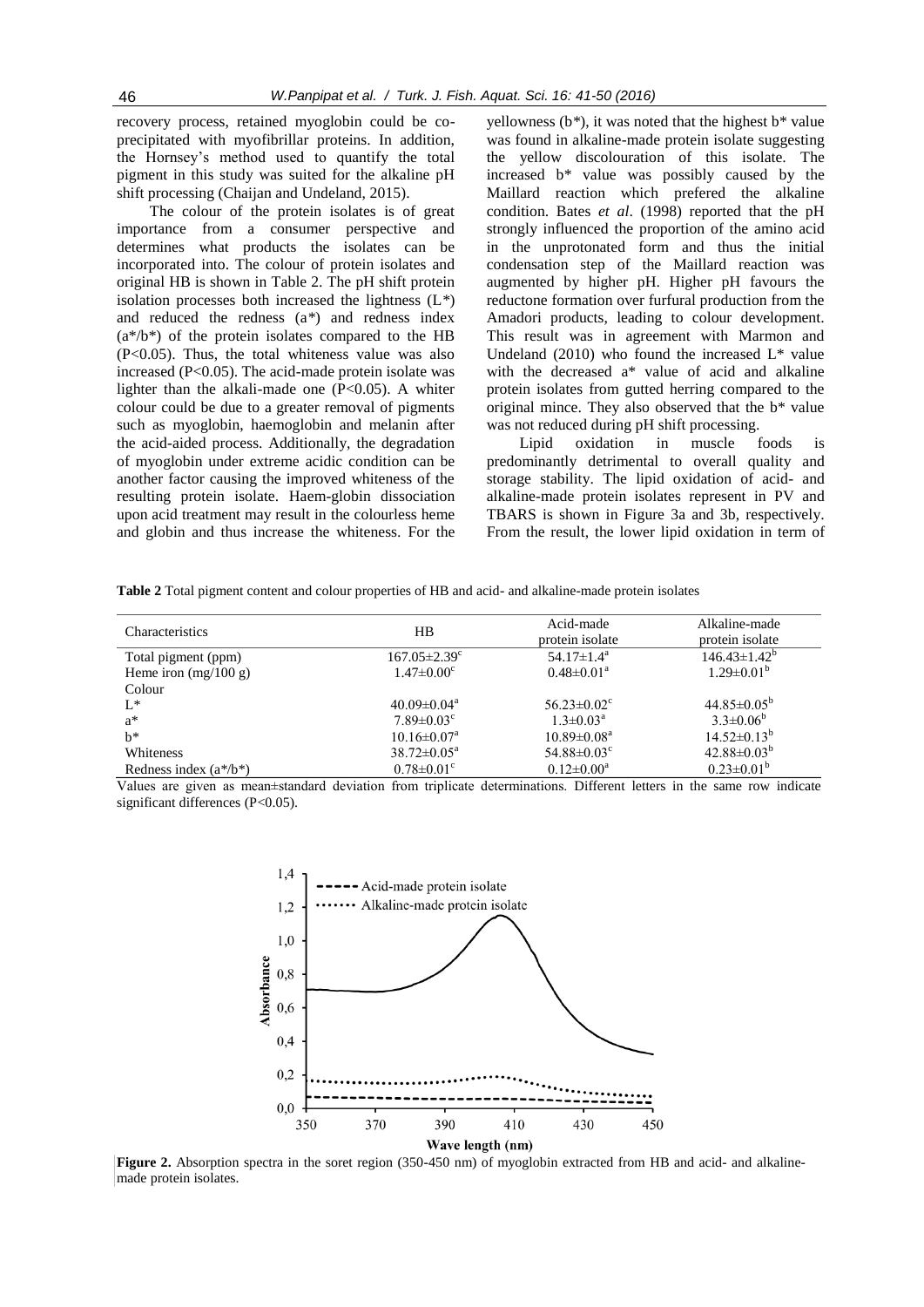recovery process, retained myoglobin could be coprecipitated with myofibrillar proteins. In addition, the Hornsey's method used to quantify the total pigment in this study was suited for the alkaline pH shift processing (Chaijan and Undeland, 2015).

The colour of the protein isolates is of great importance from a consumer perspective and determines what products the isolates can be incorporated into. The colour of protein isolates and original HB is shown in Table 2. The pH shift protein isolation processes both increased the lightness (L*\**) and reduced the redness (a*\**) and redness index  $(a^*/b^*)$  of the protein isolates compared to the HB (P<0.05). Thus, the total whiteness value was also increased (P<0.05). The acid-made protein isolate was lighter than the alkali-made one  $(P<0.05)$ . A whiter colour could be due to a greater removal of pigments such as myoglobin, haemoglobin and melanin after the acid-aided process. Additionally, the degradation of myoglobin under extreme acidic condition can be another factor causing the improved whiteness of the resulting protein isolate. Haem-globin dissociation upon acid treatment may result in the colourless heme and globin and thus increase the whiteness. For the

yellowness (b*\**), it was noted that the highest b\* value was found in alkaline-made protein isolate suggesting the yellow discolouration of this isolate. The increased b\* value was possibly caused by the Maillard reaction which prefered the alkaline condition. Bates *et al*. (1998) reported that the pH strongly influenced the proportion of the amino acid in the unprotonated form and thus the initial condensation step of the Maillard reaction was augmented by higher pH. Higher pH favours the reductone formation over furfural production from the Amadori products, leading to colour development. This result was in agreement with Marmon and Undeland  $(2010)$  who found the increased  $L^*$  value with the decreased a\* value of acid and alkaline protein isolates from gutted herring compared to the original mince. They also observed that the b\* value was not reduced during pH shift processing.

Lipid oxidation in muscle foods is predominantly detrimental to overall quality and storage stability. The lipid oxidation of acid- and alkaline-made protein isolates represent in PV and TBARS is shown in Figure 3a and 3b, respectively. From the result, the lower lipid oxidation in term of

**Table 2** Total pigment content and colour properties of HB and acid- and alkaline-made protein isolates

| <b>Characteristics</b>    | HВ                             | Acid-made<br>protein isolate  | Alkaline-made<br>protein isolate |
|---------------------------|--------------------------------|-------------------------------|----------------------------------|
| Total pigment (ppm)       | $167.05 \pm 2.39$ <sup>c</sup> | 54.17 $\pm$ 1.4 <sup>a</sup>  | $146.43 \pm 1.42^b$              |
| Heme iron $(mg/100 g)$    | $1.47 \pm 0.00$ <sup>c</sup>   | $0.48 \pm 0.01^a$             | $1.29 \pm 0.01^b$                |
| Colour                    |                                |                               |                                  |
| $L^*$                     | $40.09 \pm 0.04$ <sup>a</sup>  | $56.23 \pm 0.02$ <sup>c</sup> | $44.85 \pm 0.05^{\rm b}$         |
| $a^*$                     | $7.89 \pm 0.03$ <sup>c</sup>   | $1.3 \pm 0.03^{\text{a}}$     | $3.3 \pm 0.06^b$                 |
| $h^*$                     | $10.16 \pm 0.07^{\text{a}}$    | $10.89 \pm 0.08^{\text{a}}$   | $14.52 \pm 0.13^b$               |
| Whiteness                 | $38.72 \pm 0.05^{\text{a}}$    | 54.88 $\pm$ 0.03 $\rm{c}$     | $42.88 \pm 0.03^b$               |
| Redness index $(a^*/b^*)$ | $0.78 \pm 0.01$ <sup>c</sup>   | $0.12 \pm 0.00^a$             | $0.23 \pm 0.01^b$                |

Values are given as mean±standard deviation from triplicate determinations. Different letters in the same row indicate significant differences (P<0.05).



Figure 2. Absorption spectra in the soret region (350-450 nm) of myoglobin extracted from HB and acid- and alkalinemade protein isolates.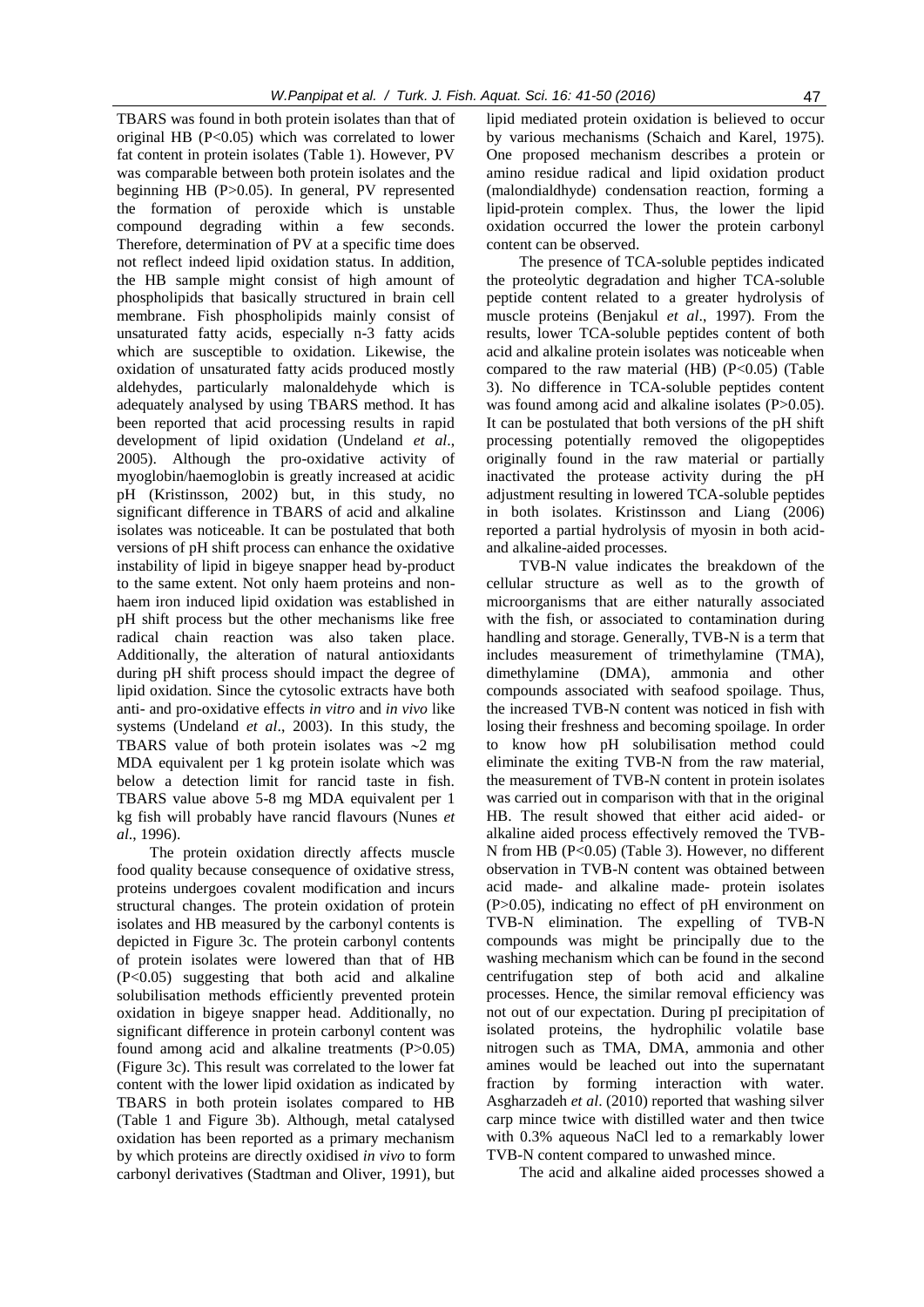TBARS was found in both protein isolates than that of original HB (P<0.05) which was correlated to lower fat content in protein isolates (Table 1). However, PV was comparable between both protein isolates and the beginning HB (P>0.05). In general, PV represented the formation of peroxide which is unstable compound degrading within a few seconds. Therefore, determination of PV at a specific time does not reflect indeed lipid oxidation status. In addition, the HB sample might consist of high amount of phospholipids that basically structured in brain cell membrane. Fish phospholipids mainly consist of unsaturated fatty acids, especially n-3 fatty acids which are susceptible to oxidation. Likewise, the oxidation of unsaturated fatty acids produced mostly aldehydes, particularly malonaldehyde which is adequately analysed by using TBARS method. It has been reported that acid processing results in rapid development of lipid oxidation (Undeland *et al*., 2005). Although the pro-oxidative activity of myoglobin/haemoglobin is greatly increased at acidic pH (Kristinsson, 2002) but, in this study, no significant difference in TBARS of acid and alkaline isolates was noticeable. It can be postulated that both versions of pH shift process can enhance the oxidative instability of lipid in bigeye snapper head by-product to the same extent. Not only haem proteins and nonhaem iron induced lipid oxidation was established in pH shift process but the other mechanisms like free radical chain reaction was also taken place. Additionally, the alteration of natural antioxidants during pH shift process should impact the degree of lipid oxidation. Since the cytosolic extracts have both anti- and pro-oxidative effects *in vitro* and *in vivo* like systems (Undeland *et al*., 2003). In this study, the TBARS value of both protein isolates was  $\sim$ 2 mg MDA equivalent per 1 kg protein isolate which was below a detection limit for rancid taste in fish. TBARS value above 5-8 mg MDA equivalent per 1 kg fish will probably have rancid flavours (Nunes *et al*., 1996).

The protein oxidation directly affects muscle food quality because consequence of oxidative stress, proteins undergoes covalent modification and incurs structural changes. The protein oxidation of protein isolates and HB measured by the carbonyl contents is depicted in Figure 3c. The protein carbonyl contents of protein isolates were lowered than that of HB (P<0.05) suggesting that both acid and alkaline solubilisation methods efficiently prevented protein oxidation in bigeye snapper head. Additionally, no significant difference in protein carbonyl content was found among acid and alkaline treatments (P>0.05) (Figure 3c). This result was correlated to the lower fat content with the lower lipid oxidation as indicated by TBARS in both protein isolates compared to HB (Table 1 and Figure 3b). Although, metal catalysed oxidation has been reported as a primary mechanism by which proteins are directly oxidised *in vivo* to form carbonyl derivatives (Stadtman and Oliver, 1991), but lipid mediated protein oxidation is believed to occur by various mechanisms (Schaich and Karel, 1975). One proposed mechanism describes a protein or amino residue radical and lipid oxidation product (malondialdhyde) condensation reaction, forming a lipid-protein complex. Thus, the lower the lipid oxidation occurred the lower the protein carbonyl content can be observed.

The presence of TCA-soluble peptides indicated the proteolytic degradation and higher TCA-soluble peptide content related to a greater hydrolysis of muscle proteins (Benjakul *et al*., 1997). From the results, lower TCA-soluble peptides content of both acid and alkaline protein isolates was noticeable when compared to the raw material  $(HB)$   $(P<0.05)$  (Table 3). No difference in TCA-soluble peptides content was found among acid and alkaline isolates (P>0.05). It can be postulated that both versions of the pH shift processing potentially removed the oligopeptides originally found in the raw material or partially inactivated the protease activity during the pH adjustment resulting in lowered TCA-soluble peptides in both isolates. Kristinsson and Liang (2006) reported a partial hydrolysis of myosin in both acidand alkaline-aided processes.

TVB-N value indicates the breakdown of the cellular structure as well as to the growth of microorganisms that are either naturally associated with the fish, or associated to contamination during handling and storage. Generally, TVB-N is a term that includes measurement of trimethylamine (TMA), dimethylamine (DMA), ammonia and other compounds associated with seafood spoilage. Thus, the increased TVB-N content was noticed in fish with losing their freshness and becoming spoilage. In order to know how pH solubilisation method could eliminate the exiting TVB-N from the raw material, the measurement of TVB-N content in protein isolates was carried out in comparison with that in the original HB. The result showed that either acid aided- or alkaline aided process effectively removed the TVB-N from HB (P<0.05) (Table 3). However, no different observation in TVB-N content was obtained between acid made- and alkaline made- protein isolates (P>0.05), indicating no effect of pH environment on TVB-N elimination. The expelling of TVB-N compounds was might be principally due to the washing mechanism which can be found in the second centrifugation step of both acid and alkaline processes. Hence, the similar removal efficiency was not out of our expectation. During pI precipitation of isolated proteins, the hydrophilic volatile base nitrogen such as TMA, DMA, ammonia and other amines would be leached out into the supernatant fraction by forming interaction with water. Asgharzadeh *et al*. (2010) reported that washing silver carp mince twice with distilled water and then twice with 0.3% aqueous NaCl led to a remarkably lower TVB-N content compared to unwashed mince.

The acid and alkaline aided processes showed a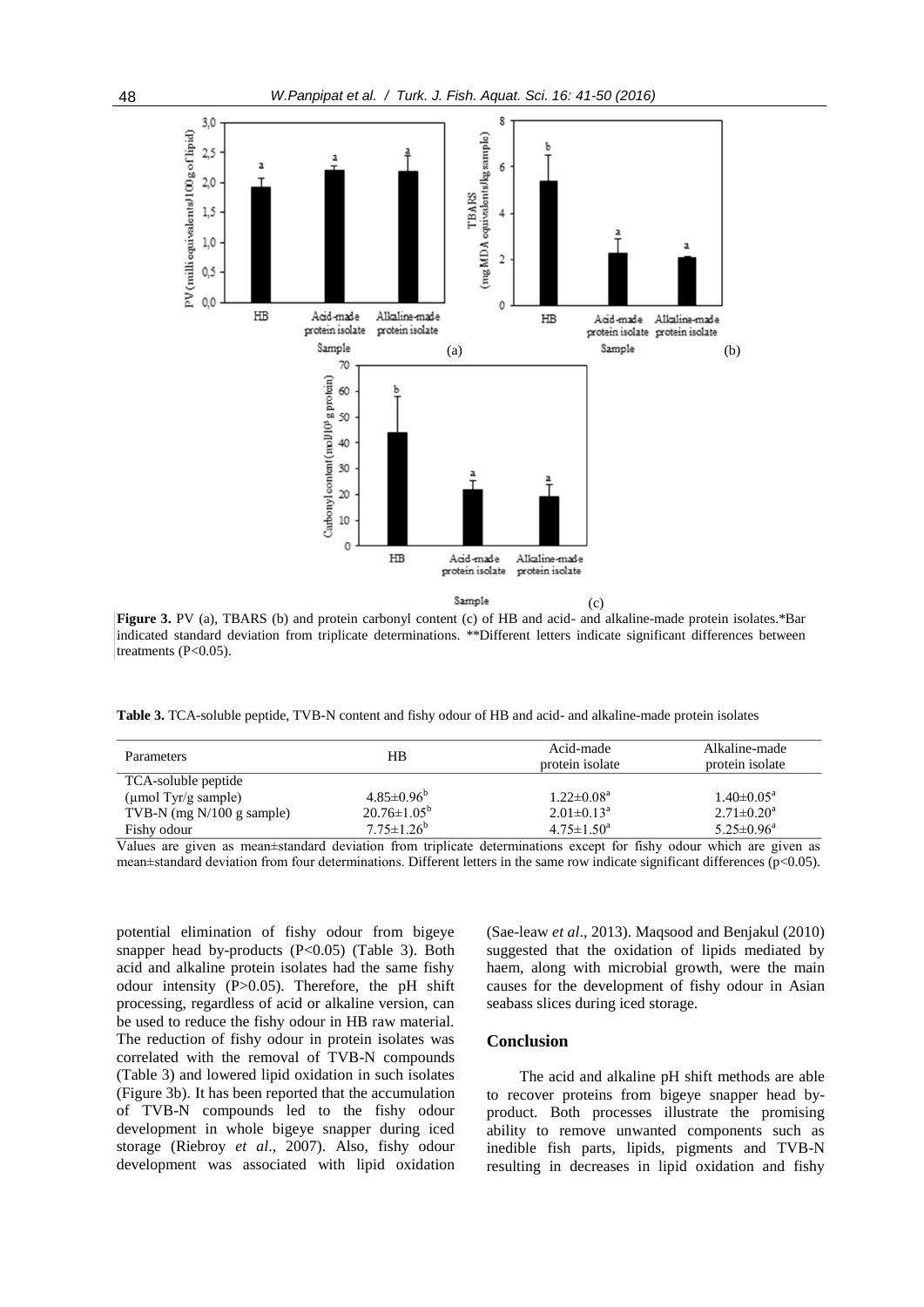

**Figure 3.** PV (a), TBARS (b) and protein carbonyl content (c) of HB and acid- and alkaline-made protein isolates.\*Bar indicated standard deviation from triplicate determinations. \*\*Different letters indicate significant differences between treatments  $(P<0.05)$ .

**Table 3.** TCA-soluble peptide, TVB-N content and fishy odour of HB and acid- and alkaline-made protein isolates

| Parameters                          | HВ                       | Acid-made<br>protein isolate | Alkaline-made<br>protein isolate |
|-------------------------------------|--------------------------|------------------------------|----------------------------------|
| TCA-soluble peptide                 |                          |                              |                                  |
| ( $\mu$ mol Tyr/g sample)           | $4.85\pm0.96^b$          | $1.22 \pm 0.08^a$            | $1.40 \pm 0.05^{\text{a}}$       |
| TVB-N $(mg N/100 g \text{ sample})$ | $20.76 \pm 1.05^{\circ}$ | $2.01 \pm 0.13^a$            | $2.71 \pm 0.20^a$                |
| Fishy odour                         | $7.75 \pm 1.26^b$        | $4.75 \pm 1.50^a$            | $5.25 \pm 0.96^a$                |

Values are given as mean±standard deviation from triplicate determinations except for fishy odour which are given as mean±standard deviation from four determinations. Different letters in the same row indicate significant differences (p<0.05).

potential elimination of fishy odour from bigeye snapper head by-products  $(P<0.05)$  (Table 3). Both acid and alkaline protein isolates had the same fishy odour intensity (P>0.05). Therefore, the pH shift processing, regardless of acid or alkaline version, can be used to reduce the fishy odour in HB raw material. The reduction of fishy odour in protein isolates was correlated with the removal of TVB-N compounds (Table 3) and lowered lipid oxidation in such isolates (Figure 3b). It has been reported that the accumulation of TVB-N compounds led to the fishy odour development in whole bigeye snapper during iced storage (Riebroy *et al*., 2007). Also, fishy odour development was associated with lipid oxidation

(Sae-leaw *et al*., 2013). Maqsood and Benjakul (2010) suggested that the oxidation of lipids mediated by haem, along with microbial growth, were the main causes for the development of fishy odour in Asian seabass slices during iced storage.

## **Conclusion**

The acid and alkaline pH shift methods are able to recover proteins from bigeye snapper head byproduct. Both processes illustrate the promising ability to remove unwanted components such as inedible fish parts, lipids, pigments and TVB-N resulting in decreases in lipid oxidation and fishy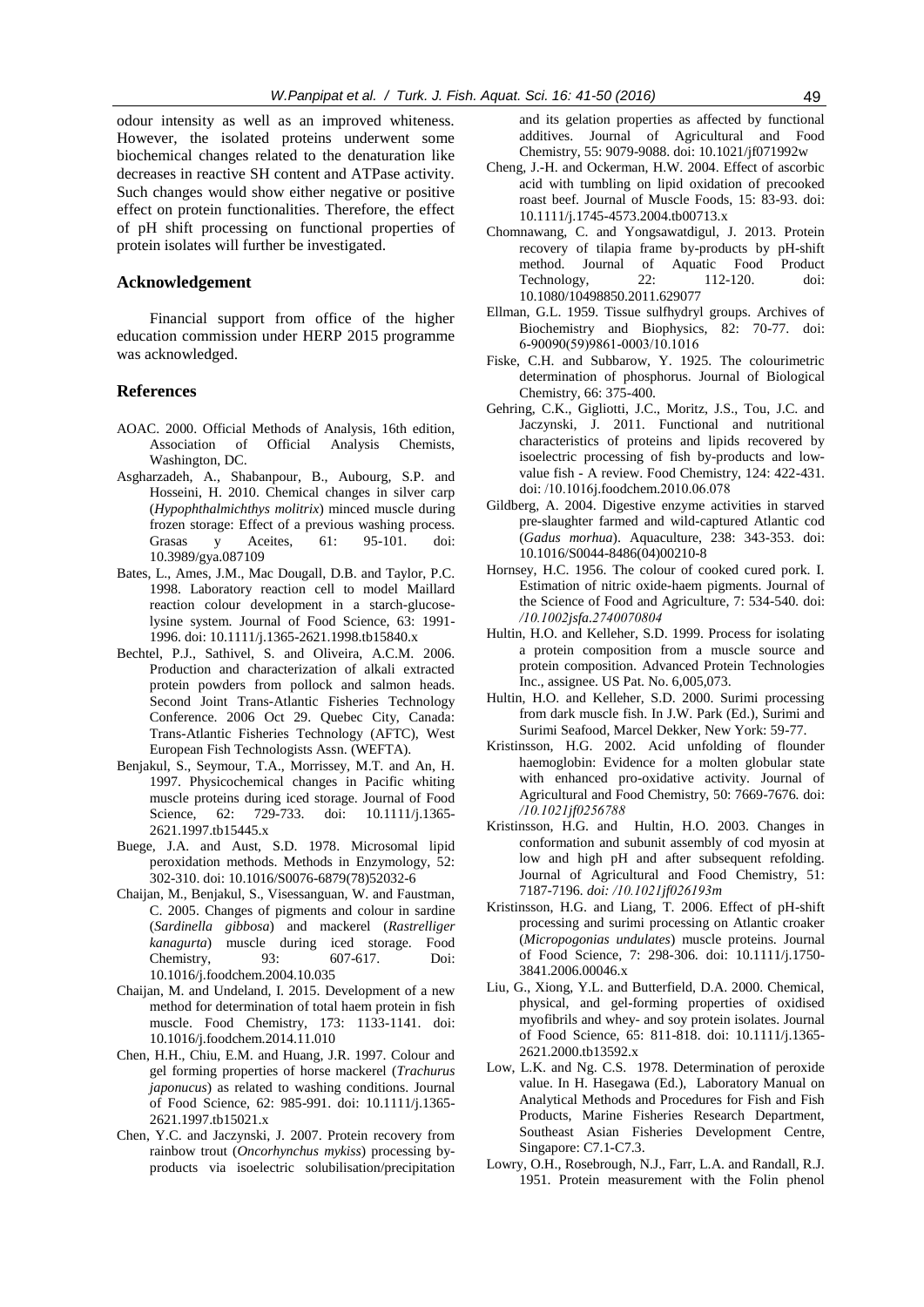odour intensity as well as an improved whiteness. However, the isolated proteins underwent some biochemical changes related to the denaturation like decreases in reactive SH content and ATPase activity. Such changes would show either negative or positive effect on protein functionalities. Therefore, the effect of pH shift processing on functional properties of protein isolates will further be investigated.

### **Acknowledgement**

Financial support from office of the higher education commission under HERP 2015 programme was acknowledged.

#### **References**

- AOAC. 2000. Official Methods of Analysis, 16th edition, Association of Official Analysis Chemists, Washington, DC.
- Asgharzadeh, A., Shabanpour, B., Aubourg, S.P. and Hosseini, H. 2010. Chemical changes in silver carp (*Hypophthalmichthys molitrix*) minced muscle during frozen storage: Effect of a previous washing process. Grasas y Aceites, 61: 95-101. doi: 10.3989/gya.087109
- Bates, L., Ames, J.M., Mac Dougall, D.B. and Taylor, P.C. 1998. Laboratory reaction cell to model Maillard reaction colour development in a starch-glucoselysine system. Journal of Food Science, 63: 1991- 1996. doi: 10.1111/j.1365-2621.1998.tb15840.x
- Bechtel, P.J., Sathivel, S. and Oliveira, A.C.M. 2006. Production and characterization of alkali extracted protein powders from pollock and salmon heads. Second Joint Trans-Atlantic Fisheries Technology Conference. 2006 Oct 29. Quebec City, Canada: Trans-Atlantic Fisheries Technology (AFTC), West European Fish Technologists Assn. (WEFTA).
- Benjakul, S., Seymour, T.A., Morrissey, M.T. and An, H. 1997. Physicochemical changes in Pacific whiting muscle proteins during iced storage. Journal of Food Science, 62: 729-733. doi: 10.1111/j.1365-2621.1997.tb15445.x
- Buege, J.A. and Aust, S.D. 1978. Microsomal lipid peroxidation methods. Methods in Enzymology, 52: 302-310. doi: 10.1016/S0076-6879(78)52032-6
- Chaijan, M., Benjakul, S., Visessanguan, W. and Faustman, C. 2005. Changes of pigments and colour in sardine (*Sardinella gibbosa*) and mackerel (*Rastrelliger kanagurta*) muscle during iced storage. Food Chemistry, 93: 607-617. Doi: 10.1016/j.foodchem.2004.10.035
- Chaijan, M. and Undeland, I. 2015. Development of a new method for determination of total haem protein in fish muscle. Food Chemistry, 173: 1133-1141. doi: 10.1016/j.foodchem.2014.11.010
- Chen, H.H., Chiu, E.M. and Huang, J.R. 1997. Colour and gel forming properties of horse mackerel (*Trachurus japonucus*) as related to washing conditions. Journal of Food Science, 62: 985-991. doi: 10.1111/j.1365- 2621.1997.tb15021.x
- Chen, Y.C. and Jaczynski, J. 2007. Protein recovery from rainbow trout (*Oncorhynchus mykiss*) processing byproducts via isoelectric solubilisation/precipitation

and its gelation properties as affected by functional additives. Journal of Agricultural and Food Chemistry, 55: 9079-9088. doi: 10.1021/jf071992w

- Cheng, J.-H. and Ockerman, H.W. 2004. Effect of ascorbic acid with tumbling on lipid oxidation of precooked roast beef. Journal of Muscle Foods, 15: 83-93. doi: 10.1111/j.1745-4573.2004.tb00713.x
- Chomnawang, C. and Yongsawatdigul, J. 2013. Protein recovery of tilapia frame by-products by pH-shift method. Journal of Aquatic Food Product Technology, 22: 112-120. doi: 10.1080/10498850.2011.629077
- Ellman, G.L. 1959. Tissue sulfhydryl groups. Archives of Biochemistry and Biophysics, 82: 70-77. doi: 6-90090(59)9861-0003/10.1016
- Fiske, C.H. and Subbarow, Y. 1925. The colourimetric determination of phosphorus. Journal of Biological Chemistry, 66: 375-400.
- Gehring, C.K., Gigliotti, J.C., Moritz, J.S., Tou, J.C. and Jaczynski, J. 2011. Functional and nutritional characteristics of proteins and lipids recovered by isoelectric processing of fish by-products and lowvalue fish - A review. Food Chemistry, 124: 422-431. doi: /10.1016j.foodchem.2010.06.078
- Gildberg, A. 2004. Digestive enzyme activities in starved pre-slaughter farmed and wild-captured Atlantic cod (*Gadus morhua*). Aquaculture, 238: 343-353. doi: 10.1016/S0044-8486(04)00210-8
- Hornsey, H.C. 1956. The colour of cooked cured pork. I. Estimation of nitric oxide-haem pigments. Journal of the Science of Food and Agriculture, 7: 534-540*.* doi: */10.1002jsfa.2740070804*
- Hultin, H.O. and Kelleher, S.D. 1999. Process for isolating a protein composition from a muscle source and protein composition. Advanced Protein Technologies Inc., assignee. US Pat. No. 6,005,073.
- Hultin, H.O. and Kelleher, S.D. 2000. Surimi processing from dark muscle fish. In J.W. Park (Ed.), Surimi and Surimi Seafood, Marcel Dekker, New York: 59-77.
- Kristinsson, H.G. 2002. Acid unfolding of flounder haemoglobin: Evidence for a molten globular state with enhanced pro-oxidative activity. Journal of Agricultural and Food Chemistry, 50: 7669-7676*.* doi: */10.1021jf0256788*
- Kristinsson, H.G. and Hultin, H.O. 2003. Changes in conformation and subunit assembly of cod myosin at low and high pH and after subsequent refolding. Journal of Agricultural and Food Chemistry, 51: 7187-7196*. doi: /10.1021jf026193m*
- Kristinsson, H.G. and Liang, T. 2006. Effect of pH-shift processing and surimi processing on Atlantic croaker (*Micropogonias undulates*) muscle proteins. Journal of Food Science, 7: 298-306. doi: 10.1111/j.1750- 3841.2006.00046.x
- Liu, G., Xiong, Y.L. and Butterfield, D.A. 2000. Chemical, physical, and gel-forming properties of oxidised myofibrils and whey- and soy protein isolates. Journal of Food Science, 65: 811-818. doi: 10.1111/j.1365- 2621.2000.tb13592.x
- Low, L.K. and Ng. C.S. 1978. Determination of peroxide value. In H. Hasegawa (Ed.), Laboratory Manual on Analytical Methods and Procedures for Fish and Fish Products, Marine Fisheries Research Department, Southeast Asian Fisheries Development Centre, Singapore: C7.1-C7.3.
- Lowry, O.H., Rosebrough, N.J., Farr, L.A. and Randall, R.J. 1951. Protein measurement with the Folin phenol